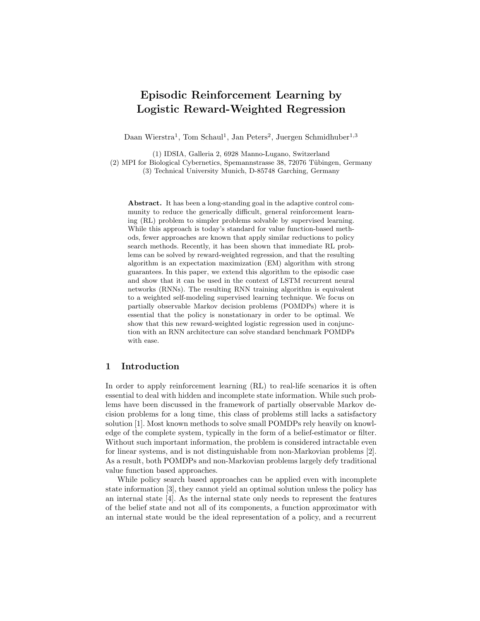# Episodic Reinforcement Learning by Logistic Reward-Weighted Regression

Daan Wierstra<sup>1</sup>, Tom Schaul<sup>1</sup>, Jan Peters<sup>2</sup>, Juergen Schmidhuber<sup>1,3</sup>

(1) IDSIA, Galleria 2, 6928 Manno-Lugano, Switzerland (2) MPI for Biological Cybernetics, Spemannstrasse 38, 72076 Tübingen, Germany (3) Technical University Munich, D-85748 Garching, Germany

Abstract. It has been a long-standing goal in the adaptive control community to reduce the generically difficult, general reinforcement learning (RL) problem to simpler problems solvable by supervised learning. While this approach is today's standard for value function-based methods, fewer approaches are known that apply similar reductions to policy search methods. Recently, it has been shown that immediate RL problems can be solved by reward-weighted regression, and that the resulting algorithm is an expectation maximization (EM) algorithm with strong guarantees. In this paper, we extend this algorithm to the episodic case and show that it can be used in the context of LSTM recurrent neural networks (RNNs). The resulting RNN training algorithm is equivalent to a weighted self-modeling supervised learning technique. We focus on partially observable Markov decision problems (POMDPs) where it is essential that the policy is nonstationary in order to be optimal. We show that this new reward-weighted logistic regression used in conjunction with an RNN architecture can solve standard benchmark POMDPs with ease.

## 1 Introduction

In order to apply reinforcement learning (RL) to real-life scenarios it is often essential to deal with hidden and incomplete state information. While such problems have been discussed in the framework of partially observable Markov decision problems for a long time, this class of problems still lacks a satisfactory solution [1]. Most known methods to solve small POMDPs rely heavily on knowledge of the complete system, typically in the form of a belief-estimator or filter. Without such important information, the problem is considered intractable even for linear systems, and is not distinguishable from non-Markovian problems [2]. As a result, both POMDPs and non-Markovian problems largely defy traditional value function based approaches.

While policy search based approaches can be applied even with incomplete state information [3], they cannot yield an optimal solution unless the policy has an internal state [4]. As the internal state only needs to represent the features of the belief state and not all of its components, a function approximator with an internal state would be the ideal representation of a policy, and a recurrent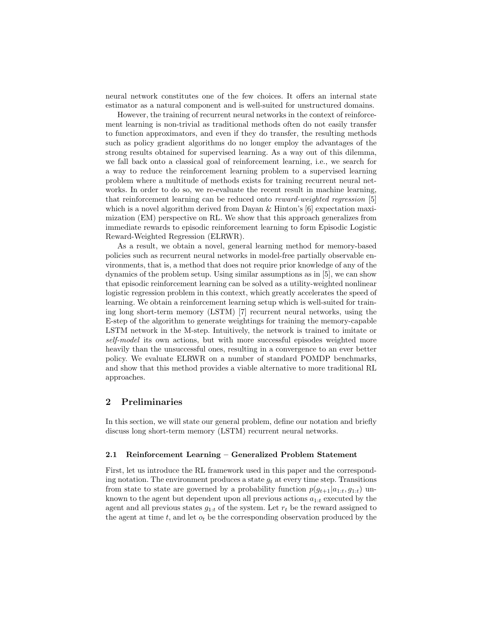neural network constitutes one of the few choices. It offers an internal state estimator as a natural component and is well-suited for unstructured domains.

However, the training of recurrent neural networks in the context of reinforcement learning is non-trivial as traditional methods often do not easily transfer to function approximators, and even if they do transfer, the resulting methods such as policy gradient algorithms do no longer employ the advantages of the strong results obtained for supervised learning. As a way out of this dilemma, we fall back onto a classical goal of reinforcement learning, i.e., we search for a way to reduce the reinforcement learning problem to a supervised learning problem where a multitude of methods exists for training recurrent neural networks. In order to do so, we re-evaluate the recent result in machine learning, that reinforcement learning can be reduced onto reward-weighted regression [5] which is a novel algorithm derived from Dayan & Hinton's [6] expectation maximization (EM) perspective on RL. We show that this approach generalizes from immediate rewards to episodic reinforcement learning to form Episodic Logistic Reward-Weighted Regression (ELRWR).

As a result, we obtain a novel, general learning method for memory-based policies such as recurrent neural networks in model-free partially observable environments, that is, a method that does not require prior knowledge of any of the dynamics of the problem setup. Using similar assumptions as in [5], we can show that episodic reinforcement learning can be solved as a utility-weighted nonlinear logistic regression problem in this context, which greatly accelerates the speed of learning. We obtain a reinforcement learning setup which is well-suited for training long short-term memory (LSTM) [7] recurrent neural networks, using the E-step of the algorithm to generate weightings for training the memory-capable LSTM network in the M-step. Intuitively, the network is trained to imitate or self-model its own actions, but with more successful episodes weighted more heavily than the unsuccessful ones, resulting in a convergence to an ever better policy. We evaluate ELRWR on a number of standard POMDP benchmarks, and show that this method provides a viable alternative to more traditional RL approaches.

# 2 Preliminaries

In this section, we will state our general problem, define our notation and briefly discuss long short-term memory (LSTM) recurrent neural networks.

#### 2.1 Reinforcement Learning – Generalized Problem Statement

First, let us introduce the RL framework used in this paper and the corresponding notation. The environment produces a state  $g_t$  at every time step. Transitions from state to state are governed by a probability function  $p(g_{t+1}|a_{1:t}, g_{1:t})$  unknown to the agent but dependent upon all previous actions  $a_{1:t}$  executed by the agent and all previous states  $g_{1:t}$  of the system. Let  $r_t$  be the reward assigned to the agent at time t, and let  $o_t$  be the corresponding observation produced by the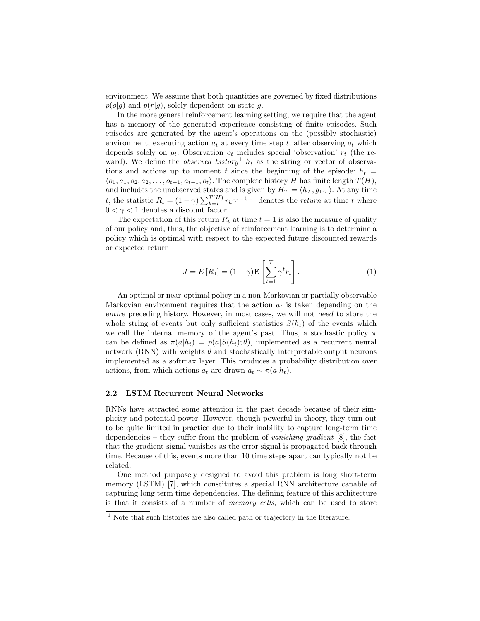environment. We assume that both quantities are governed by fixed distributions  $p(o|q)$  and  $p(r|q)$ , solely dependent on state g.

In the more general reinforcement learning setting, we require that the agent has a memory of the generated experience consisting of finite episodes. Such episodes are generated by the agent's operations on the (possibly stochastic) environment, executing action  $a_t$  at every time step t, after observing  $o_t$  which depends solely on  $q_t$ . Observation  $o_t$  includes special 'observation'  $r_t$  (the reward). We define the *observed history*<sup>1</sup>  $h_t$  as the string or vector of observations and actions up to moment t since the beginning of the episode:  $h_t =$  $\langle o_1, a_1, o_2, a_2, \ldots, o_{t-1}, a_{t-1}, o_t \rangle$ . The complete history H has finite length  $T(H)$ , and includes the unobserved states and is given by  $H_T = \langle h_T, g_{1:T} \rangle$ . At any time t, the statistic  $R_t = (1 - \gamma) \sum_{k=t}^{T(H)} r_k \gamma^{t-k-1}$  denotes the return at time t where  $0 < \gamma < 1$  denotes a discount factor.

The expectation of this return  $R_t$  at time  $t = 1$  is also the measure of quality of our policy and, thus, the objective of reinforcement learning is to determine a policy which is optimal with respect to the expected future discounted rewards or expected return

$$
J = E[R_1] = (1 - \gamma) \mathbf{E} \left[ \sum_{t=1}^{T} \gamma^t r_t \right].
$$
 (1)

An optimal or near-optimal policy in a non-Markovian or partially observable Markovian environment requires that the action  $a_t$  is taken depending on the entire preceding history. However, in most cases, we will not need to store the whole string of events but only sufficient statistics  $S(h_t)$  of the events which we call the internal memory of the agent's past. Thus, a stochastic policy  $\pi$ can be defined as  $\pi(a|h_t) = p(a|S(h_t); \theta)$ , implemented as a recurrent neural network (RNN) with weights  $\theta$  and stochastically interpretable output neurons implemented as a softmax layer. This produces a probability distribution over actions, from which actions  $a_t$  are drawn  $a_t \sim \pi(a|h_t)$ .

#### 2.2 LSTM Recurrent Neural Networks

RNNs have attracted some attention in the past decade because of their simplicity and potential power. However, though powerful in theory, they turn out to be quite limited in practice due to their inability to capture long-term time dependencies – they suffer from the problem of vanishing gradient [8], the fact that the gradient signal vanishes as the error signal is propagated back through time. Because of this, events more than 10 time steps apart can typically not be related.

One method purposely designed to avoid this problem is long short-term memory (LSTM) [7], which constitutes a special RNN architecture capable of capturing long term time dependencies. The defining feature of this architecture is that it consists of a number of memory cells, which can be used to store

<sup>&</sup>lt;sup>1</sup> Note that such histories are also called path or trajectory in the literature.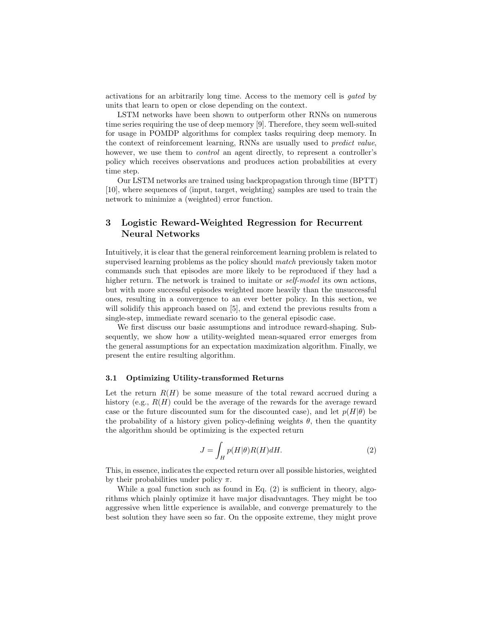activations for an arbitrarily long time. Access to the memory cell is gated by units that learn to open or close depending on the context.

LSTM networks have been shown to outperform other RNNs on numerous time series requiring the use of deep memory [9]. Therefore, they seem well-suited for usage in POMDP algorithms for complex tasks requiring deep memory. In the context of reinforcement learning, RNNs are usually used to predict value, however, we use them to *control* an agent directly, to represent a controller's policy which receives observations and produces action probabilities at every time step.

Our LSTM networks are trained using backpropagation through time (BPTT) [10], where sequences of  $\langle \text{input}, \text{target}, \text{weighting} \rangle$  samples are used to train the network to minimize a (weighted) error function.

# 3 Logistic Reward-Weighted Regression for Recurrent Neural Networks

Intuitively, it is clear that the general reinforcement learning problem is related to supervised learning problems as the policy should match previously taken motor commands such that episodes are more likely to be reproduced if they had a higher return. The network is trained to imitate or *self-model* its own actions, but with more successful episodes weighted more heavily than the unsuccessful ones, resulting in a convergence to an ever better policy. In this section, we will solidify this approach based on [5], and extend the previous results from a single-step, immediate reward scenario to the general episodic case.

We first discuss our basic assumptions and introduce reward-shaping. Subsequently, we show how a utility-weighted mean-squared error emerges from the general assumptions for an expectation maximization algorithm. Finally, we present the entire resulting algorithm.

#### 3.1 Optimizing Utility-transformed Returns

Let the return  $R(H)$  be some measure of the total reward accrued during a history (e.g.,  $R(H)$  could be the average of the rewards for the average reward case or the future discounted sum for the discounted case), and let  $p(H|\theta)$  be the probability of a history given policy-defining weights  $\theta$ , then the quantity the algorithm should be optimizing is the expected return

$$
J = \int_{H} p(H|\theta)R(H)dH.
$$
 (2)

This, in essence, indicates the expected return over all possible histories, weighted by their probabilities under policy  $\pi$ .

While a goal function such as found in Eq. (2) is sufficient in theory, algorithms which plainly optimize it have major disadvantages. They might be too aggressive when little experience is available, and converge prematurely to the best solution they have seen so far. On the opposite extreme, they might prove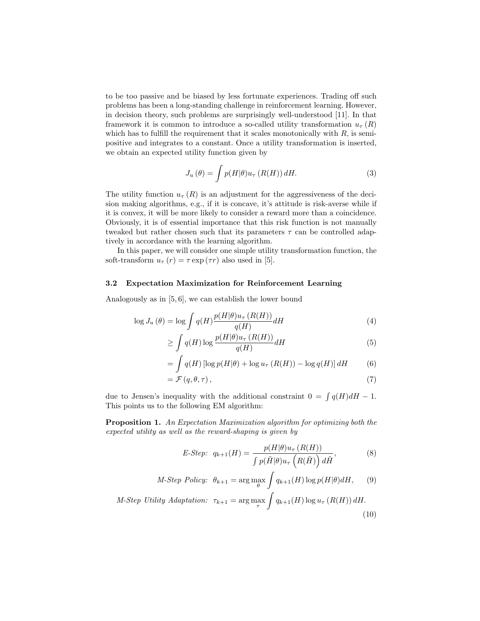to be too passive and be biased by less fortunate experiences. Trading off such problems has been a long-standing challenge in reinforcement learning. However, in decision theory, such problems are surprisingly well-understood [11]. In that framework it is common to introduce a so-called utility transformation  $u_{\tau}(R)$ which has to fulfill the requirement that it scales monotonically with  $R$ , is semipositive and integrates to a constant. Once a utility transformation is inserted, we obtain an expected utility function given by

$$
J_u(\theta) = \int p(H|\theta)u_\tau(R(H))\,dH.
$$
\n(3)

The utility function  $u_{\tau}(R)$  is an adjustment for the aggressiveness of the decision making algorithms, e.g., if it is concave, it's attitude is risk-averse while if it is convex, it will be more likely to consider a reward more than a coincidence. Obviously, it is of essential importance that this risk function is not manually tweaked but rather chosen such that its parameters  $\tau$  can be controlled adaptively in accordance with the learning algorithm.

In this paper, we will consider one simple utility transformation function, the soft-transform  $u_{\tau}(r) = \tau \exp(\tau r)$  also used in [5].

#### 3.2 Expectation Maximization for Reinforcement Learning

Analogously as in [5, 6], we can establish the lower bound

$$
\log J_u(\theta) = \log \int q(H) \frac{p(H|\theta)u_\tau(R(H))}{q(H)} dH \tag{4}
$$

$$
\geq \int q(H) \log \frac{p(H|\theta) u_{\tau}(R(H))}{q(H)} dH \tag{5}
$$

$$
= \int q(H) \left[ \log p(H|\theta) + \log u_{\tau} (R(H)) - \log q(H) \right] dH \tag{6}
$$

$$
=\mathcal{F}(q,\theta,\tau)\,,\tag{7}
$$

due to Jensen's inequality with the additional constraint  $0 = \int q(H) dH - 1$ . This points us to the following EM algorithm:

Proposition 1. An Expectation Maximization algorithm for optimizing both the expected utility as well as the reward-shaping is given by

$$
E\text{-Step: } q_{k+1}(H) = \frac{p(H|\theta)u_{\tau}(R(H))}{\int p(\tilde{H}|\theta)u_{\tau}\left(R(\tilde{H})\right)d\tilde{H}},\tag{8}
$$

$$
M\text{-}Step\,Policy: \ \theta_{k+1} = \arg\max_{\theta} \int q_{k+1}(H) \log p(H|\theta) dH, \qquad (9)
$$

$$
M\text{-Step Utility Addition: }\tau_{k+1} = \arg\max_{\tau} \int q_{k+1}(H) \log u_{\tau} (R(H)) dH. \tag{10}
$$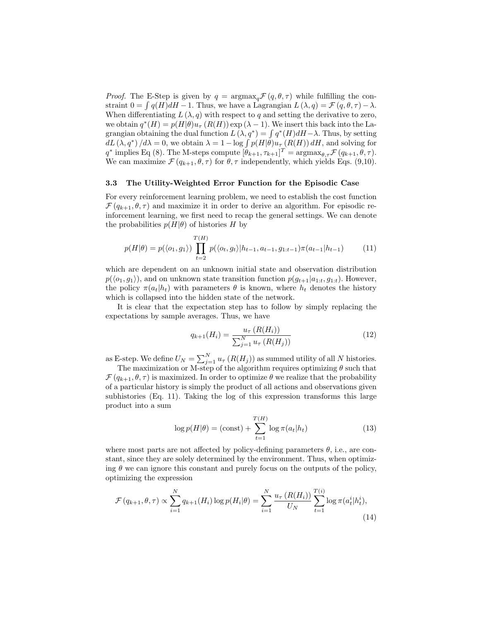*Proof.* The E-Step is given by  $q = \argmax_{\alpha} \mathcal{F}(q, \theta, \tau)$  while fulfilling the constraint  $0 = \int q(H) dH - 1$ . Thus, we have a Lagrangian  $L(\lambda, q) = \mathcal{F}(q, \theta, \tau) - \lambda$ . When differentiating  $L(\lambda, q)$  with respect to q and setting the derivative to zero, we obtain  $q^*(H) = p(H|\theta)u_\tau(R(H)) \exp(\lambda - 1)$ . We insert this back into the Lagrangian obtaining the dual function  $L(\lambda, q^*) = \int q^*(H) dH - \lambda$ . Thus, by setting  $dL(\lambda, q^*)/d\lambda = 0$ , we obtain  $\lambda = 1 - \log \int p(H|\theta)u_\tau(R(H)) dH$ , and solving for  $q^*$  implies Eq (8). The M-steps compute  $[\hat{\theta}_{k+1}, \tau_{k+1}]^T = \operatorname{argmax}_{\theta, \tau} \mathcal{F}(q_{k+1}, \theta, \tau)$ . We can maximize  $\mathcal{F}(q_{k+1}, \theta, \tau)$  for  $\theta, \tau$  independently, which yields Eqs. (9,10).

#### 3.3 The Utility-Weighted Error Function for the Episodic Case

For every reinforcement learning problem, we need to establish the cost function  $\mathcal{F}(q_{k+1}, \theta, \tau)$  and maximize it in order to derive an algorithm. For episodic reinforcement learning, we first need to recap the general settings. We can denote the probabilities  $p(H|\theta)$  of histories H by

$$
p(H|\theta) = p(\langle o_1, g_1 \rangle) \prod_{t=2}^{T(H)} p(\langle o_t, g_t \rangle | h_{t-1}, a_{t-1}, g_{1:t-1}) \pi(a_{t-1} | h_{t-1})
$$
 (11)

which are dependent on an unknown initial state and observation distribution  $p(\langle o_1, g_1 \rangle)$ , and on unknown state transition function  $p(g_{t+1}|a_{1:t}, g_{1:t})$ . However, the policy  $\pi(a_t|h_t)$  with parameters  $\theta$  is known, where  $h_t$  denotes the history which is collapsed into the hidden state of the network.

It is clear that the expectation step has to follow by simply replacing the expectations by sample averages. Thus, we have

$$
q_{k+1}(H_i) = \frac{u_{\tau}(R(H_i))}{\sum_{j=1}^{N} u_{\tau}(R(H_j))}
$$
(12)

as E-step. We define  $U_N = \sum_{j=1}^N u_{\tau} (R(H_j))$  as summed utility of all N histories.

The maximization or M-step of the algorithm requires optimizing  $\theta$  such that  $\mathcal{F}(q_{k+1}, \theta, \tau)$  is maximized. In order to optimize  $\theta$  we realize that the probability of a particular history is simply the product of all actions and observations given subhistories (Eq. 11). Taking the log of this expression transforms this large product into a sum

$$
\log p(H|\theta) = (\text{const}) + \sum_{t=1}^{T(H)} \log \pi(a_t|h_t)
$$
\n(13)

where most parts are not affected by policy-defining parameters  $\theta$ , i.e., are constant, since they are solely determined by the environment. Thus, when optimizing  $\theta$  we can ignore this constant and purely focus on the outputs of the policy, optimizing the expression

$$
\mathcal{F}(q_{k+1}, \theta, \tau) \propto \sum_{i=1}^{N} q_{k+1}(H_i) \log p(H_i|\theta) = \sum_{i=1}^{N} \frac{u_{\tau}(R(H_i))}{U_N} \sum_{t=1}^{T(i)} \log \pi(a_t^i|h_t^i),\tag{14}
$$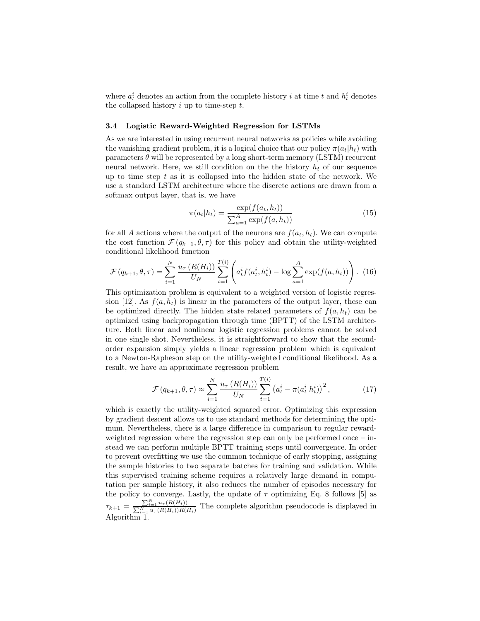where  $a_t^i$  denotes an action from the complete history i at time t and  $h_t^i$  denotes the collapsed history  $i$  up to time-step  $t$ .

#### 3.4 Logistic Reward-Weighted Regression for LSTMs

As we are interested in using recurrent neural networks as policies while avoiding the vanishing gradient problem, it is a logical choice that our policy  $\pi(a_t|h_t)$  with parameters  $\theta$  will be represented by a long short-term memory (LSTM) recurrent neural network. Here, we still condition on the the history  $h_t$  of our sequence up to time step  $t$  as it is collapsed into the hidden state of the network. We use a standard LSTM architecture where the discrete actions are drawn from a softmax output layer, that is, we have

$$
\pi(a_t|h_t) = \frac{\exp(f(a_t, h_t))}{\sum_{a=1}^A \exp(f(a, h_t))}
$$
\n(15)

for all A actions where the output of the neurons are  $f(a_t, h_t)$ . We can compute the cost function  $\mathcal{F}(q_{k+1}, \theta, \tau)$  for this policy and obtain the utility-weighted conditional likelihood function

$$
\mathcal{F}(q_{k+1}, \theta, \tau) = \sum_{i=1}^{N} \frac{u_{\tau}(R(H_i))}{U_N} \sum_{t=1}^{T(i)} \left( a_t^i f(a_t^i, h_t^i) - \log \sum_{a=1}^{A} \exp(f(a, h_t)) \right). \tag{16}
$$

This optimization problem is equivalent to a weighted version of logistic regression [12]. As  $f(a, h_t)$  is linear in the parameters of the output layer, these can be optimized directly. The hidden state related parameters of  $f(a, h_t)$  can be optimized using backpropagation through time (BPTT) of the LSTM architecture. Both linear and nonlinear logistic regression problems cannot be solved in one single shot. Nevertheless, it is straightforward to show that the secondorder expansion simply yields a linear regression problem which is equivalent to a Newton-Rapheson step on the utility-weighted conditional likelihood. As a result, we have an approximate regression problem

$$
\mathcal{F}(q_{k+1}, \theta, \tau) \approx \sum_{i=1}^{N} \frac{u_{\tau} (R(H_i))}{U_N} \sum_{t=1}^{T(i)} \left( a_t^i - \pi(a_t^i | h_t^i) \right)^2, \tag{17}
$$

which is exactly the utility-weighted squared error. Optimizing this expression by gradient descent allows us to use standard methods for determining the optimum. Nevertheless, there is a large difference in comparison to regular rewardweighted regression where the regression step can only be performed once – instead we can perform multiple BPTT training steps until convergence. In order to prevent overfitting we use the common technique of early stopping, assigning the sample histories to two separate batches for training and validation. While this supervised training scheme requires a relatively large demand in computation per sample history, it also reduces the number of episodes necessary for the policy to converge. Lastly, the update of  $\tau$  optimizing Eq. 8 follows [5] as  $\tau_{k+1} = \frac{\sum_{i=1}^{N} u_{\tau}(R(H_i))}{\sum_{i=1}^{N} u_{\tau}(R(H_i))R(H_i)}$  The complete algorithm pseudocode is displayed in Algorithm<sup>1</sup>.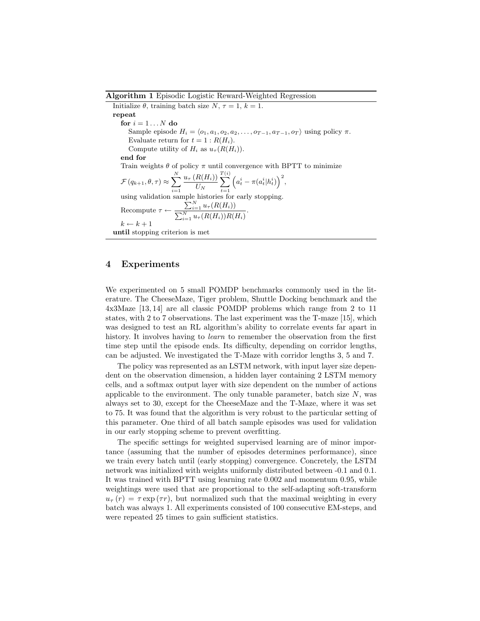#### Algorithm 1 Episodic Logistic Reward-Weighted Regression

Initialize  $\theta$ , training batch size N,  $\tau = 1$ ,  $k = 1$ . repeat for  $i = 1...N$  do Sample episode  $H_i = \langle o_1, a_1, o_2, a_2, \ldots, o_{T-1}, a_{T-1}, o_T \rangle$  using policy  $\pi$ . Evaluate return for  $t = 1 : R(H_i)$ . Compute utility of  $H_i$  as  $u_\tau(R(H_i)).$ end for Train weights  $\theta$  of policy  $\pi$  until convergence with BPTT to minimize  $\mathcal{F}\left(q_{k+1}, \theta, \tau\right) \approx \sum^{N}_{n}$  $i=1$  $u_{\tau}\left(R(H_i)\right)$  $U_N$  $\sum_{i=1}^{T(i)}$  $t=1$  $\left(a_t^i - \pi(a_t^i|h_t^i)\right)^2$ using validation sample histories for early stopping. Recompute  $\tau \leftarrow \frac{\sum_{i=1}^{N} u_{\tau}(R(H_i))}{\sum_{i=1}^{N} u_{\tau}(R(H_i))}$  $\frac{\sum_{i=1}^N u_{\tau}(R(H_i))}{\sum_{i=1}^N u_{\tau}(R(H_i))R(H_i)}$  $k \leftarrow k + 1$ until stopping criterion is met

### 4 Experiments

We experimented on 5 small POMDP benchmarks commonly used in the literature. The CheeseMaze, Tiger problem, Shuttle Docking benchmark and the 4x3Maze [13, 14] are all classic POMDP problems which range from 2 to 11 states, with 2 to 7 observations. The last experiment was the T-maze [15], which was designed to test an RL algorithm's ability to correlate events far apart in history. It involves having to *learn* to remember the observation from the first time step until the episode ends. Its difficulty, depending on corridor lengths, can be adjusted. We investigated the T-Maze with corridor lengths 3, 5 and 7.

The policy was represented as an LSTM network, with input layer size dependent on the observation dimension, a hidden layer containing 2 LSTM memory cells, and a softmax output layer with size dependent on the number of actions applicable to the environment. The only tunable parameter, batch size  $N$ , was always set to 30, except for the CheeseMaze and the T-Maze, where it was set to 75. It was found that the algorithm is very robust to the particular setting of this parameter. One third of all batch sample episodes was used for validation in our early stopping scheme to prevent overfitting.

The specific settings for weighted supervised learning are of minor importance (assuming that the number of episodes determines performance), since we train every batch until (early stopping) convergence. Concretely, the LSTM network was initialized with weights uniformly distributed between -0.1 and 0.1. It was trained with BPTT using learning rate 0.002 and momentum 0.95, while weightings were used that are proportional to the self-adapting soft-transform  $u_{\tau}(r) = \tau \exp(\tau r)$ , but normalized such that the maximal weighting in every batch was always 1. All experiments consisted of 100 consecutive EM-steps, and were repeated 25 times to gain sufficient statistics.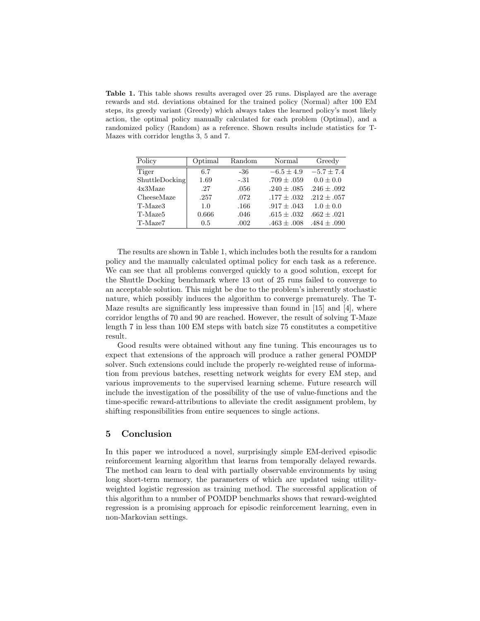Table 1. This table shows results averaged over 25 runs. Displayed are the average rewards and std. deviations obtained for the trained policy (Normal) after 100 EM steps, its greedy variant (Greedy) which always takes the learned policy's most likely action, the optimal policy manually calculated for each problem (Optimal), and a randomized policy (Random) as a reference. Shown results include statistics for T-Mazes with corridor lengths 3, 5 and 7.

| Policy              | Optimal | Random | Normal          | Greedy          |
|---------------------|---------|--------|-----------------|-----------------|
| Tiger               | 6.7     | -36    | $-6.5 \pm 4.9$  | $-5.7 \pm 7.4$  |
| ShuttleDocking      | 1.69    | $-.31$ | $.709 \pm .059$ | $0.0 \pm 0.0$   |
| 4x3Maze             | .27     | .056   | $.240 \pm .085$ | $.246 \pm .092$ |
| CheeseMaze          | .257    | .072   | $.177 \pm .032$ | $.212 + .057$   |
| T-Maze3             | 1.0     | .166   | $.917 \pm .043$ | $1.0 \pm 0.0$   |
| T-Maze <sub>5</sub> | 0.666   | .046   | $.615 \pm .032$ | $.662 \pm .021$ |
| T-Maze7             | 0.5     | .002   | $.463 \pm .008$ | $.484 \pm .090$ |

The results are shown in Table 1, which includes both the results for a random policy and the manually calculated optimal policy for each task as a reference. We can see that all problems converged quickly to a good solution, except for the Shuttle Docking benchmark where 13 out of 25 runs failed to converge to an acceptable solution. This might be due to the problem's inherently stochastic nature, which possibly induces the algorithm to converge prematurely. The T-Maze results are significantly less impressive than found in [15] and [4], where corridor lengths of 70 and 90 are reached. However, the result of solving T-Maze length 7 in less than 100 EM steps with batch size 75 constitutes a competitive result.

Good results were obtained without any fine tuning. This encourages us to expect that extensions of the approach will produce a rather general POMDP solver. Such extensions could include the properly re-weighted reuse of information from previous batches, resetting network weights for every EM step, and various improvements to the supervised learning scheme. Future research will include the investigation of the possibility of the use of value-functions and the time-specific reward-attributions to alleviate the credit assignment problem, by shifting responsibilities from entire sequences to single actions.

### 5 Conclusion

In this paper we introduced a novel, surprisingly simple EM-derived episodic reinforcement learning algorithm that learns from temporally delayed rewards. The method can learn to deal with partially observable environments by using long short-term memory, the parameters of which are updated using utilityweighted logistic regression as training method. The successful application of this algorithm to a number of POMDP benchmarks shows that reward-weighted regression is a promising approach for episodic reinforcement learning, even in non-Markovian settings.